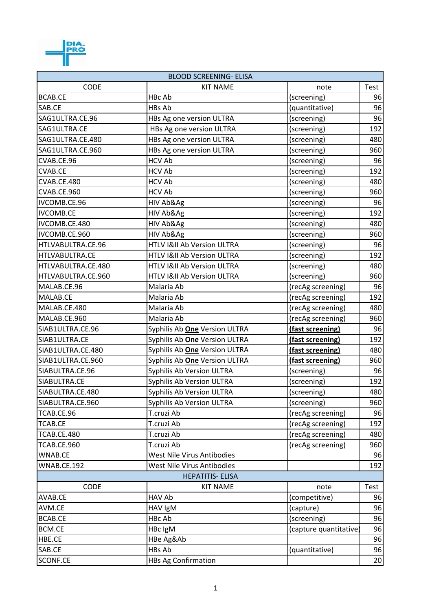

| <b>BLOOD SCREENING- ELISA</b> |                                       |                        |      |  |  |
|-------------------------------|---------------------------------------|------------------------|------|--|--|
| <b>CODE</b>                   | <b>KIT NAME</b>                       | note                   | Test |  |  |
| <b>BCAB.CE</b>                | HBc Ab                                | (screening)            | 96   |  |  |
| SAB.CE                        | HBs Ab                                | (quantitative)         | 96   |  |  |
| SAG1ULTRA.CE.96               | HBs Ag one version ULTRA              | (screening)            | 96   |  |  |
| SAG1ULTRA.CE                  | HBs Ag one version ULTRA              | (screening)            | 192  |  |  |
| SAG1ULTRA.CE.480              | HBs Ag one version ULTRA              | (screening)            | 480  |  |  |
| SAG1ULTRA.CE.960              | HBs Ag one version ULTRA              | (screening)            | 960  |  |  |
| CVAB.CE.96                    | <b>HCV Ab</b>                         | (screening)            | 96   |  |  |
| CVAB.CE                       | <b>HCV Ab</b>                         | (screening)            | 192  |  |  |
| CVAB.CE.480                   | <b>HCV Ab</b>                         | (screening)            | 480  |  |  |
| CVAB.CE.960                   | <b>HCV Ab</b>                         | (screening)            | 960  |  |  |
| IVCOMB.CE.96                  | HIV Ab&Ag                             | (screening)            | 96   |  |  |
| <b>IVCOMB.CE</b>              | HIV Ab&Ag                             | (screening)            | 192  |  |  |
| IVCOMB.CE.480                 | HIV Ab&Ag                             | (screening)            | 480  |  |  |
| IVCOMB.CE.960                 | HIV Ab&Ag                             | (screening)            | 960  |  |  |
| HTLVABULTRA.CE.96             | HTLV I&II Ab Version ULTRA            | (screening)            | 96   |  |  |
| HTLVABULTRA.CE                | HTLV I&II Ab Version ULTRA            | (screening)            | 192  |  |  |
| HTLVABULTRA.CE.480            | HTLV I&II Ab Version ULTRA            | (screening)            | 480  |  |  |
| HTLVABULTRA.CE.960            | <b>HTLV I&amp;II Ab Version ULTRA</b> | (screening)            | 960  |  |  |
| MALAB.CE.96                   | Malaria Ab                            | (recAg screening)      | 96   |  |  |
| MALAB.CE                      | Malaria Ab                            | (recAg screening)      | 192  |  |  |
| MALAB.CE.480                  | Malaria Ab                            | (recAg screening)      | 480  |  |  |
| MALAB.CE.960                  | Malaria Ab                            | (recAg screening)      | 960  |  |  |
| SIAB1ULTRA.CE.96              | Syphilis Ab <b>One</b> Version ULTRA  | (fast screening)       | 96   |  |  |
| SIAB1ULTRA.CE                 | Syphilis Ab <b>One</b> Version ULTRA  | (fast screening)       | 192  |  |  |
| SIAB1ULTRA.CE.480             | Syphilis Ab One Version ULTRA         | (fast screening)       | 480  |  |  |
| SIAB1ULTRA.CE.960             | Syphilis Ab One Version ULTRA         | (fast screening)       | 960  |  |  |
| SIABULTRA.CE.96               | Syphilis Ab Version ULTRA             | (screening)            | 96   |  |  |
| SIABULTRA.CE                  | Syphilis Ab Version ULTRA             | (screening)            | 192  |  |  |
| SIABULTRA.CE.480              | Syphilis Ab Version ULTRA             | (screening)            | 480  |  |  |
| SIABULTRA.CE.960              | Syphilis Ab Version ULTRA             | (screening)            | 960  |  |  |
| TCAB.CE.96                    | T.cruzi Ab                            | (recAg screening)      | 96   |  |  |
| TCAB.CE                       | T.cruzi Ab                            | (recAg screening)      | 192  |  |  |
| TCAB.CE.480                   | T.cruzi Ab                            | (recAg screening)      | 480  |  |  |
| TCAB.CE.960                   | T.cruzi Ab                            | (recAg screening)      | 960  |  |  |
| WNAB.CE                       | West Nile Virus Antibodies            |                        | 96   |  |  |
| WNAB.CE.192                   | West Nile Virus Antibodies            |                        | 192  |  |  |
|                               | <b>HEPATITIS- ELISA</b>               |                        |      |  |  |
| <b>CODE</b>                   | <b>KIT NAME</b>                       | note                   | Test |  |  |
| AVAB.CE                       | HAV Ab                                | (competitive)          | 96   |  |  |
| AVM.CE                        | HAV IgM                               | (capture)              | 96   |  |  |
| BCAB.CE                       | HBc Ab                                | (screening)            | 96   |  |  |
| BCM.CE                        | HBc IgM                               | (capture quantitative) | 96   |  |  |
| HBE.CE                        | HBe Ag&Ab                             |                        | 96   |  |  |
| SAB.CE                        | HBs Ab                                | (quantitative)         | 96   |  |  |
| SCONF.CE                      | <b>HBs Ag Confirmation</b>            |                        | 20   |  |  |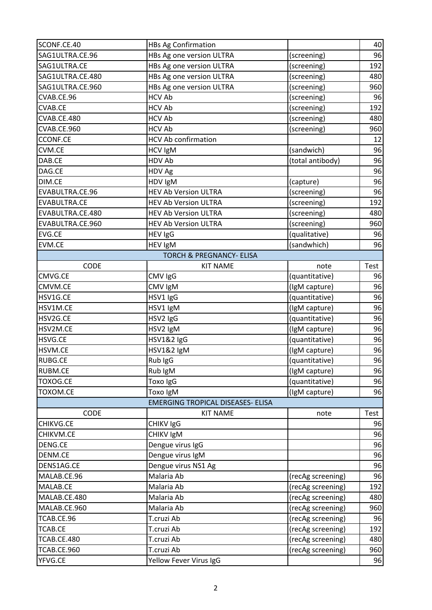| SCONF.CE.40      | <b>HBs Ag Confirmation</b>               |                   | 40   |
|------------------|------------------------------------------|-------------------|------|
| SAG1ULTRA.CE.96  | HBs Ag one version ULTRA                 | (screening)       | 96   |
| SAG1ULTRA.CE     | HBs Ag one version ULTRA                 | (screening)       | 192  |
| SAG1ULTRA.CE.480 | HBs Ag one version ULTRA                 | (screening)       | 480  |
| SAG1ULTRA.CE.960 | HBs Ag one version ULTRA                 | (screening)       | 960  |
| CVAB.CE.96       | <b>HCV Ab</b>                            | (screening)       | 96   |
| <b>CVAB.CE</b>   | <b>HCV Ab</b>                            | (screening)       | 192  |
| CVAB.CE.480      | <b>HCV Ab</b>                            | (screening)       | 480  |
| CVAB.CE.960      | <b>HCV Ab</b>                            | (screening)       | 960  |
| <b>CCONF.CE</b>  | <b>HCV Ab confirmation</b>               |                   | 12   |
| CVM.CE           | HCV IgM                                  | (sandwich)        | 96   |
| DAB.CE           | HDV Ab                                   | (total antibody)  | 96   |
| DAG.CE           | HDV Ag                                   |                   | 96   |
| DIM.CE           | HDV IgM                                  | (capture)         | 96   |
| EVABULTRA.CE.96  | <b>HEV Ab Version ULTRA</b>              | (screening)       | 96   |
| EVABULTRA.CE     | <b>HEV Ab Version ULTRA</b>              | (screening)       | 192  |
| EVABULTRA.CE.480 | <b>HEV Ab Version ULTRA</b>              | (screening)       | 480  |
| EVABULTRA.CE.960 | <b>HEV Ab Version ULTRA</b>              | (screening)       | 960  |
| EVG.CE           | <b>HEV IgG</b>                           | (qualitative)     | 96   |
| EVM.CE           | <b>HEV IgM</b>                           | (sandwhich)       | 96   |
|                  | <b>TORCH &amp; PREGNANCY- ELISA</b>      |                   |      |
| CODE             | <b>KIT NAME</b>                          | note              | Test |
| CMVG.CE          | CMV IgG                                  | (quantitative)    | 96   |
| CMVM.CE          | CMV IgM                                  | (IgM capture)     | 96   |
| HSV1G.CE         | HSV1 IgG                                 | (quantitative)    | 96   |
| HSV1M.CE         | HSV1 IgM                                 | (IgM capture)     | 96   |
| HSV2G.CE         | HSV2 IgG                                 | (quantitative)    | 96   |
| HSV2M.CE         | HSV2 IgM                                 | (IgM capture)     | 96   |
| HSVG.CE          | HSV1&2 IgG                               | (quantitative)    | 96   |
| HSVM.CE          | HSV1&2 IgM                               | (IgM capture)     | 96   |
| <b>RUBG.CE</b>   | Rub IgG                                  | (quantitative)    | 96   |
| RUBM.CE          | Rub IgM                                  | (IgM capture)     | 96   |
| TOXOG.CE         | Toxo IgG                                 | (quantitative)    | 96   |
| TOXOM.CE         | Toxo IgM                                 | (IgM capture)     | 96   |
|                  | <b>EMERGING TROPICAL DISEASES- ELISA</b> |                   |      |
| <b>CODE</b>      | <b>KIT NAME</b>                          | note              | Test |
| CHIKVG.CE        | CHIKV IgG                                |                   | 96   |
| CHIKVM.CE        | CHIKV IgM                                |                   | 96   |
| <b>DENG.CE</b>   | Dengue virus IgG                         |                   | 96   |
| DENM.CE          | Dengue virus IgM                         |                   | 96   |
| DENS1AG.CE       | Dengue virus NS1 Ag                      |                   | 96   |
| MALAB.CE.96      | Malaria Ab                               | (recAg screening) | 96   |
| MALAB.CE         | Malaria Ab                               | (recAg screening) | 192  |
| MALAB.CE.480     | Malaria Ab                               | (recAg screening) | 480  |
| MALAB.CE.960     | Malaria Ab                               | (recAg screening) | 960  |
| TCAB.CE.96       | T.cruzi Ab                               | (recAg screening) | 96   |
| <b>TCAB.CE</b>   | T.cruzi Ab                               | (recAg screening) | 192  |
| TCAB.CE.480      | T.cruzi Ab                               | (recAg screening) | 480  |
| TCAB.CE.960      | T.cruzi Ab                               | (recAg screening) | 960  |
| YFVG.CE          | Yellow Fever Virus IgG                   |                   | 96   |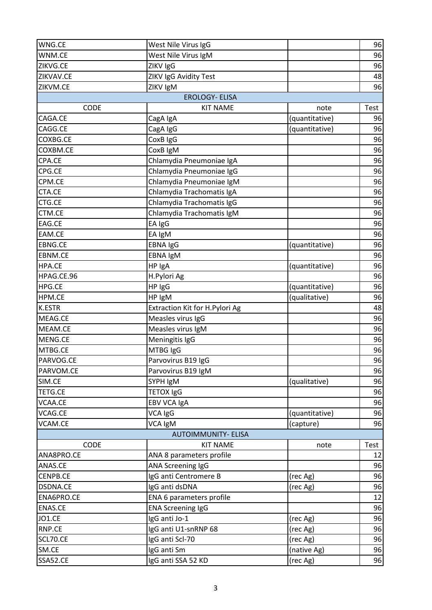| WNG.CE          | West Nile Virus IgG            |                | 96   |
|-----------------|--------------------------------|----------------|------|
| WNM.CE          | West Nile Virus IgM            |                | 96   |
| ZIKVG.CE        | ZIKV IgG                       |                | 96   |
| ZIKVAV.CE       | ZIKV IgG Avidity Test          |                | 48   |
| ZIKVM.CE        | ZIKV IgM                       |                | 96   |
|                 | <b>EROLOGY- ELISA</b>          |                |      |
| CODE            | <b>KIT NAME</b>                | note           | Test |
| CAGA.CE         | CagA IgA                       | (quantitative) | 96   |
| CAGG.CE         | CagA IgG                       | (quantitative) | 96   |
| COXBG.CE        | CoxB IgG                       |                | 96   |
| COXBM.CE        | CoxB IgM                       |                | 96   |
| CPA.CE          | Chlamydia Pneumoniae IgA       |                | 96   |
| CPG.CE          | Chlamydia Pneumoniae IgG       |                | 96   |
| CPM.CE          | Chlamydia Pneumoniae IgM       |                | 96   |
| CTA.CE          | Chlamydia Trachomatis IgA      |                | 96   |
| CTG.CE          | Chlamydia Trachomatis IgG      |                | 96   |
| CTM.CE          | Chlamydia Trachomatis IgM      |                | 96   |
| EAG.CE          | EA IgG                         |                | 96   |
| EAM.CE          | EA IgM                         |                | 96   |
| <b>EBNG.CE</b>  | <b>EBNA IgG</b>                | (quantitative) | 96   |
| EBNM.CE         | EBNA IgM                       |                | 96   |
| HPA.CE          | HP IgA                         | (quantitative) | 96   |
| HPAG.CE.96      | H.Pylori Ag                    |                | 96   |
| HPG.CE          | HP IgG                         | (quantitative) | 96   |
| HPM.CE          | HP IgM                         | (qualitative)  | 96   |
| <b>K.ESTR</b>   | Extraction Kit for H.Pylori Ag |                | 48   |
| MEAG.CE         | Measles virus IgG              |                | 96   |
| MEAM.CE         | Measles virus IgM              |                | 96   |
| MENG.CE         | Meningitis IgG                 |                | 96   |
| MTBG.CE         | MTBG IgG                       |                | 96   |
| PARVOG.CE       | Parvovirus B19 IgG             |                | 96   |
| PARVOM.CE       | Parvovirus B19 IgM             |                | 96   |
| SIM.CE          | SYPH IgM                       | (qualitative)  | 96   |
| <b>TETG.CE</b>  | <b>TETOX IgG</b>               |                | 96   |
| VCAA.CE         | EBV VCA IgA                    |                | 96   |
| VCAG.CE         | VCA IgG                        | (quantitative) | 96   |
| VCAM.CE         | VCA IgM                        | (capture)      | 96   |
|                 | <b>AUTOIMMUNITY- ELISA</b>     |                |      |
| <b>CODE</b>     | <b>KIT NAME</b>                | note           | Test |
| ANA8PRO.CE      | ANA 8 parameters profile       |                | 12   |
| ANAS.CE         | ANA Screening IgG              |                | 96   |
| <b>CENPB.CE</b> | IgG anti Centromere B          | (rec Ag)       | 96   |
| <b>DSDNA.CE</b> | IgG anti dsDNA                 | (rec Ag)       | 96   |
| ENA6PRO.CE      | ENA 6 parameters profile       |                | 12   |
| ENAS.CE         | <b>ENA Screening IgG</b>       |                | 96   |
| <b>JO1.CE</b>   | IgG anti Jo-1                  | (rec Ag)       | 96   |
| RNP.CE          | IgG anti U1-snRNP 68           | (rec Ag)       | 96   |
| SCL70.CE        | IgG anti Scl-70                | (rec Ag)       | 96   |
| SM.CE           | IgG anti Sm                    | (native Ag)    | 96   |
| SSA52.CE        | IgG anti SSA 52 KD             | (rec Ag)       | 96   |
|                 |                                |                |      |